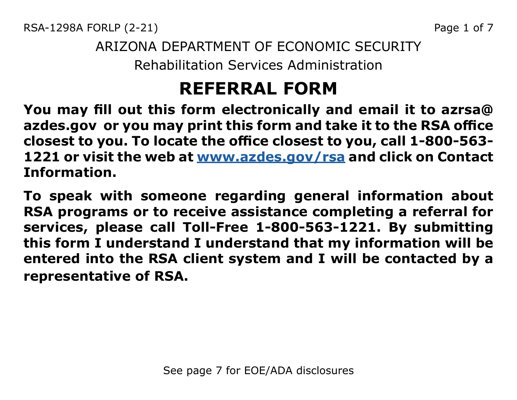RSA-1298A FORLP (2-21) 2008 2010 12:38 Page 1 of 7

### ARIZONA DEPARTMENT OF ECONOMIC SECURITY Rehabilitation Services Administration

# **REFERRAL FORM**

**You may fill out this form electronically and email it to azrsa@ azdes.gov or you may print this form and take it to the RSA office closest to you. To locate the office closest to you, call 1-800-563- 1221 or visit the web at [www.azdes.gov/rsa](http://www.azdes.gov/rsa) and click on Contact Information.**

**To speak with someone regarding general information about RSA programs or to receive assistance completing a referral for services, please call Toll-Free 1-800-563-1221. By submitting this form I understand I understand that my information will be entered into the RSA client system and I will be contacted by a representative of RSA.**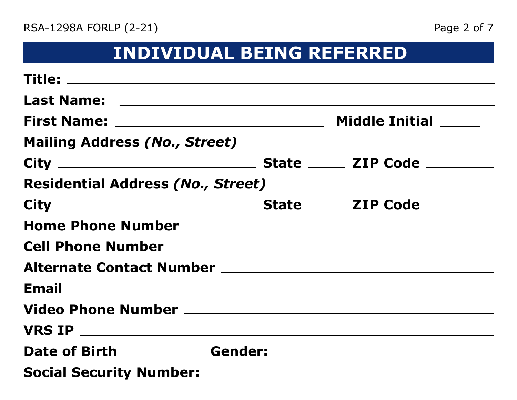# **INDIVIDUAL BEING REFERRED**

| <b>First Name:</b> ___________________________________                                                                             | <b>Middle Initial ______</b> |
|------------------------------------------------------------------------------------------------------------------------------------|------------------------------|
|                                                                                                                                    |                              |
|                                                                                                                                    |                              |
|                                                                                                                                    |                              |
|                                                                                                                                    |                              |
| Home Phone Number<br>Management Annual Communication of the Management Annual Communication of the Management Annual Communication |                              |
|                                                                                                                                    |                              |
|                                                                                                                                    |                              |
|                                                                                                                                    |                              |
|                                                                                                                                    |                              |
|                                                                                                                                    |                              |
|                                                                                                                                    |                              |
|                                                                                                                                    |                              |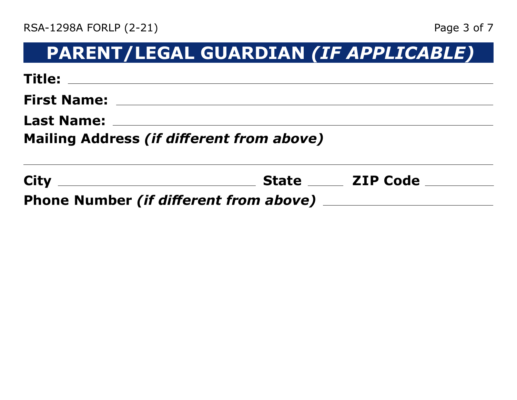# **PARENT/LEGAL GUARDIAN** *(IF APPLICABLE)*

| <b>Mailing Address (if different from above)</b> |  |
|--------------------------------------------------|--|
|                                                  |  |
|                                                  |  |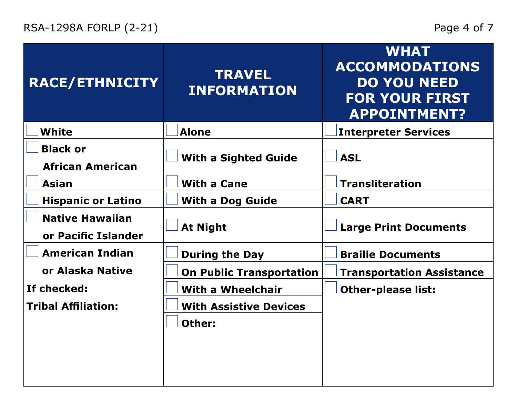| <b>RACE/ETHNICITY</b>                         | <b>TRAVEL</b><br><b>INFORMATION</b> | <b>WHAT</b><br><b>ACCOMMODATIONS</b><br><b>DO YOU NEED</b><br><b>FOR YOUR FIRST</b><br><b>APPOINTMENT?</b> |
|-----------------------------------------------|-------------------------------------|------------------------------------------------------------------------------------------------------------|
| <b>White</b>                                  | <b>Alone</b>                        | <b>Interpreter Services</b>                                                                                |
| <b>Black or</b><br><b>African American</b>    | <b>With a Sighted Guide</b>         | <b>ASL</b>                                                                                                 |
| Asian                                         | <b>With a Cane</b>                  | <b>Transliteration</b>                                                                                     |
| <b>Hispanic or Latino</b>                     | <b>With a Dog Guide</b>             | <b>CART</b>                                                                                                |
| <b>Native Hawaiian</b><br>or Pacific Islander | <b>At Night</b>                     | <b>Large Print Documents</b>                                                                               |
| <b>American Indian</b>                        | <b>During the Day</b>               | <b>Braille Documents</b>                                                                                   |
| or Alaska Native                              | <b>On Public Transportation</b>     | <b>Transportation Assistance</b>                                                                           |
| If checked:                                   | <b>With a Wheelchair</b>            | <b>Other-please list:</b>                                                                                  |
| <b>Tribal Affiliation:</b>                    | <b>With Assistive Devices</b>       |                                                                                                            |
|                                               | Other:                              |                                                                                                            |
|                                               |                                     |                                                                                                            |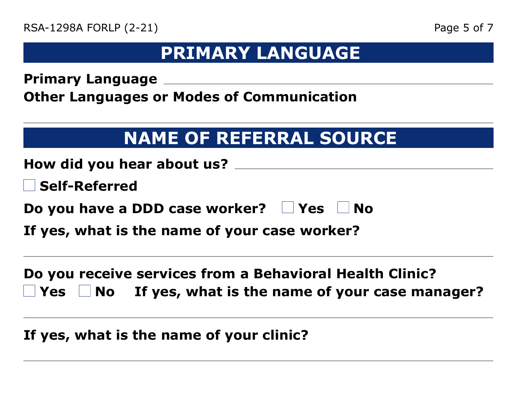## **PRIMARY LANGUAGE**

**Primary Language**

**Other Languages or Modes of Communication**

# **NAME OF REFERRAL SOURCE**

| How did you hear about us? $\_\_$                   |  |
|-----------------------------------------------------|--|
| $\Box$ Self-Referred                                |  |
| Do you have a DDD case worker? $\Box$ Yes $\Box$ No |  |
| If yes, what is the name of your case worker?       |  |
|                                                     |  |

**Do you receive services from a Behavioral Health Clinic? Yes**  $\Box$  **No** If yes, what is the name of your case manager?

**If yes, what is the name of your clinic?**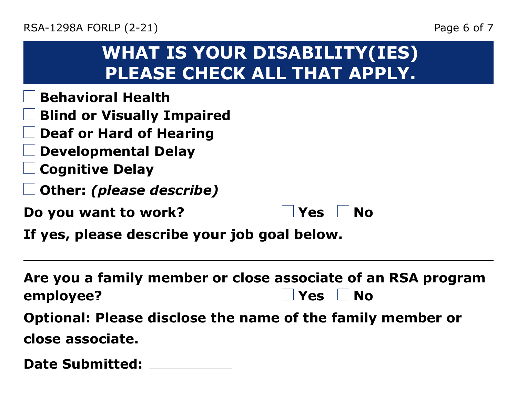| Page 6 of |  |
|-----------|--|
|           |  |

| <b>WHAT IS YOUR DISABILITY(IES)</b> |
|-------------------------------------|
| <b>PLEASE CHECK ALL THAT APPLY.</b> |

- **Behavioral Health**
- **Blind or Visually Impaired**
- **Deaf or Hard of Hearing**
- **Developmental Delay**
- **Cognitive Delay**
- **Other:** *(please describe)*
- **Do you want to work?**

| <b>No</b><br>'Yes |
|-------------------|
|-------------------|

**If yes, please describe your job goal below.**

**Are you a family member or close associate of an RSA program employee?** No **Optional: Please disclose the name of the family member or close associate.**

**Date Submitted:**